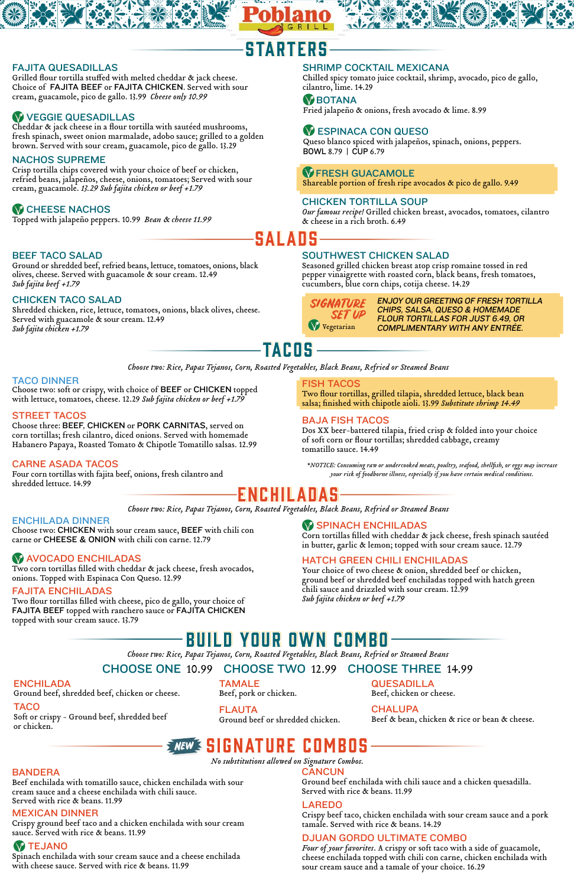### CHICKEN TACO SALAD

Shredded chicken, rice, lettuce, tomatoes, onions, black olives, cheese. Served with guacamole & sour cream. 12.49 *Sub fajita chicken +1.79*

#### BEEF TACO SALAD

Ground or shredded beef, refried beans, lettuce, tomatoes, onions, black olives, cheese. Served with guacamole & sour cream. 12.49 *Sub fajita beef +1.79*

### SOUTHWEST CHICKEN SALAD

Seasoned grilled chicken breast atop crisp romaine tossed in red pepper vinaigrette with roasted corn, black beans, fresh tomatoes, cucumbers, blue corn chips, cotija cheese. 14.29

# ENCHILADAS

#### ENCHILADA DINNER

Choose two: CHICKEN with sour cream sauce, BEEF with chili con carne or CHEESE & ONION with chili con carne. 12.79

# **AVOCADO ENCHILADAS**

### FAJITA ENCHILADAS

Two flour tortillas filled with cheese, pico de gallo, your choice of FAJITA BEEF topped with ranchero sauce or FAJITA CHICKEN topped with sour cream sauce. 13.79

# **W SPINACH ENCHILADAS**

SIGNATURE SET UP **V** Vegetarian

Corn tortillas filled with cheddar & jack cheese, fresh spinach sautéed in butter, garlic & lemon; topped with sour cream sauce. 12.79

Two corn tortillas filled with cheddar & jack cheese, fresh avocados, onions. Topped with Espinaca Con Queso. 12.99

*Choose two: Rice, Papas Tejanos, Corn, Roasted Vegetables, Black Beans, Refried or Steamed Beans*

#### HATCH GREEN CHILI ENCHILADAS

Your choice of two cheese & onion, shredded beef or chicken, ground beef or shredded beef enchiladas topped with hatch green chili sauce and drizzled with sour cream. 12.99 *Sub fajita chicken or beef +1.79*

ENJOY OUR GREETING OF FRESH TORTILLA CHIPS, SALSA, QUESO & HOMEMADE FLOUR TORTILLAS FOR JUST 6.49, OR COMPLIMENTARY WITH ANY ENTRÉE.

# TACOS

*\*NOTICE: Consuming raw or undercooked meats, poultry, seafood, shellfish, or eggs may increase your risk of foodborne illness, especially if you have certain medical conditions.* 

CHOOSE ONE 10.99 CHOOSE TWO 12.99 CHOOSE THREE 14.99

# BUILD YOUR OWN COMBO

*Choose two: Rice, Papas Tejanos, Corn, Roasted Vegetables, Black Beans, Refried or Steamed Beans*

# STARTERS

### FAJITA QUESADILLAS

Grilled flour tortilla stuffed with melted cheddar & jack cheese. Choice of FAJITA BEEF or FAJITA CHICKEN. Served with sour cream, guacamole, pico de gallo. 13.99 *Cheese only 10.99*

# VEGGIE QUESADILLAS

Cheddar & jack cheese in a flour tortilla with sautéed mushrooms, fresh spinach, sweet onion marmalade, adobo sauce; grilled to a golden brown. Served with sour cream, guacamole, pico de gallo. 13.29

Queso blanco spiced with jalapeños, spinach, onions, peppers. BOWL 8.79 | CUP 6.79

# **W FRESH GUACAMOLE**

Topped with jalapeño peppers. 10.99 *Bean* & *cheese 11.99*

Shareable portion of fresh ripe avocados & pico de gallo. 9.49

### SHRIMP COCKTAIL MEXICANA

Chilled spicy tomato juice cocktail, shrimp, avocado, pico de gallo, cilantro, lime. 14.29

#### **W** BOTANA

### NACHOS SUPREME

Crisp tortilla chips covered with your choice of beef or chicken, refried beans, jalapeños, cheese, onions, tomatoes; Served with sour cream, guacamole. *13.29 Sub fajita chicken or beef +1.79*

# **W CHEESE NACHOS**

Fried jalapeño & onions, fresh avocado & lime. 8.99

# **WESPINACA CON QUESO**

### CHICKEN TORTILLA SOUP

*Our famous recipe!* Grilled chicken breast, avocados, tomatoes, cilantro & cheese in a rich broth. 6.49

**SALADS** 

*Choose two: Rice, Papas Tejanos, Corn, Roasted Vegetables, Black Beans, Refried or Steamed Beans*

#### CARNE ASADA TACOS

Four corn tortillas with fajita beef, onions, fresh cilantro and shredded lettuce. 14.99

#### BAJA FISH TACOS

Dos XX beer-battered tilapia, fried crisp & folded into your choice of soft corn or flour tortillas; shredded cabbage, creamy tomatillo sauce. 14.49

#### STREET TACOS

Choose three: BEEF, CHICKEN or PORK CARNITAS, served on corn tortillas; fresh cilantro, diced onions. Served with homemade Habanero Papaya, Roasted Tomato & Chipotle Tomatillo salsas. 12.99

#### FISH TACOS

Two flour tortillas, grilled tilapia, shredded lettuce, black bean salsa; finished with chipotle aioli. 13.99 *Substitute shrimp 14.49*

#### TACO DINNER

Choose two: soft or crispy, with choice of BEEF or CHICKEN topped with lettuce, tomatoes, cheese. 12.29 *Sub fajita chicken or beef +1.79*

Beef & bean, chicken & rice or bean & cheese.

# *NEW* **3 SIGNATURE COMBOS**

QUESADILLA Beef, chicken or cheese.

#### **CHALUPA**

FLAUTA Ground beef or shredded chicken.

TAMALE Beef, pork or chicken.

### TACO

Soft or crispy - Ground beef, shredded beef or chicken.

#### ENCHILADA

Ground beef, shredded beef, chicken or cheese.

### MEXICAN DINNER

Crispy ground beef taco and a chicken enchilada with sour cream sauce. Served with rice & beans. 11.99

# **W** TEJANO

Spinach enchilada with sour cream sauce and a cheese enchilada with cheese sauce. Served with rice & beans. 11.99

#### **CANCUN**

Ground beef enchilada with chili sauce and a chicken quesadilla. Served with rice & beans. 11.99

#### LAREDO

Crispy beef taco, chicken enchilada with sour cream sauce and a pork tamale. Served with rice & beans. 14.29

#### BANDERA

Beef enchilada with tomatillo sauce, chicken enchilada with sour cream sauce and a cheese enchilada with chili sauce. Served with rice & beans. 11.99

## DJUAN GORDO ULTIMATE COMBO

*Four of your favorites*. A crispy or soft taco with a side of guacamole, cheese enchilada topped with chili con carne, chicken enchilada with sour cream sauce and a tamale of your choice. 16.29

*No substitutions allowed on Signature Combos.*